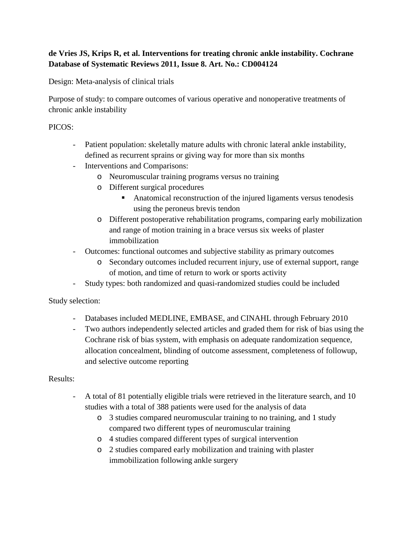## **de Vries JS, Krips R, et al. Interventions for treating chronic ankle instability. Cochrane Database of Systematic Reviews 2011, Issue 8. Art. No.: CD004124**

Design: Meta-analysis of clinical trials

Purpose of study: to compare outcomes of various operative and nonoperative treatments of chronic ankle instability

## PICOS:

- Patient population: skeletally mature adults with chronic lateral ankle instability, defined as recurrent sprains or giving way for more than six months
- Interventions and Comparisons:
	- o Neuromuscular training programs versus no training
	- o Different surgical procedures
		- Anatomical reconstruction of the injured ligaments versus tenodesis using the peroneus brevis tendon
	- o Different postoperative rehabilitation programs, comparing early mobilization and range of motion training in a brace versus six weeks of plaster immobilization
- Outcomes: functional outcomes and subjective stability as primary outcomes
	- o Secondary outcomes included recurrent injury, use of external support, range of motion, and time of return to work or sports activity
- Study types: both randomized and quasi-randomized studies could be included

Study selection:

- Databases included MEDLINE, EMBASE, and CINAHL through February 2010
- Two authors independently selected articles and graded them for risk of bias using the Cochrane risk of bias system, with emphasis on adequate randomization sequence, allocation concealment, blinding of outcome assessment, completeness of followup, and selective outcome reporting

## Results:

- A total of 81 potentially eligible trials were retrieved in the literature search, and 10 studies with a total of 388 patients were used for the analysis of data
	- o 3 studies compared neuromuscular training to no training, and 1 study compared two different types of neuromuscular training
	- o 4 studies compared different types of surgical intervention
	- o 2 studies compared early mobilization and training with plaster immobilization following ankle surgery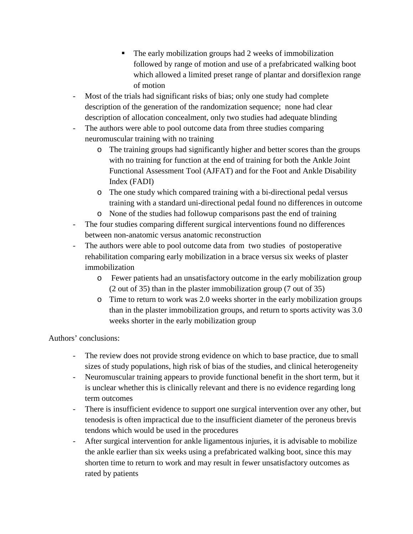- The early mobilization groups had 2 weeks of immobilization followed by range of motion and use of a prefabricated walking boot which allowed a limited preset range of plantar and dorsiflexion range of motion
- Most of the trials had significant risks of bias; only one study had complete description of the generation of the randomization sequence; none had clear description of allocation concealment, only two studies had adequate blinding
- The authors were able to pool outcome data from three studies comparing neuromuscular training with no training
	- o The training groups had significantly higher and better scores than the groups with no training for function at the end of training for both the Ankle Joint Functional Assessment Tool (AJFAT) and for the Foot and Ankle Disability Index (FADI)
	- o The one study which compared training with a bi-directional pedal versus training with a standard uni-directional pedal found no differences in outcome
	- o None of the studies had followup comparisons past the end of training
- The four studies comparing different surgical interventions found no differences between non-anatomic versus anatomic reconstruction
- The authors were able to pool outcome data from two studies of postoperative rehabilitation comparing early mobilization in a brace versus six weeks of plaster immobilization
	- o Fewer patients had an unsatisfactory outcome in the early mobilization group (2 out of 35) than in the plaster immobilization group (7 out of 35)
	- o Time to return to work was 2.0 weeks shorter in the early mobilization groups than in the plaster immobilization groups, and return to sports activity was 3.0 weeks shorter in the early mobilization group

Authors' conclusions:

- The review does not provide strong evidence on which to base practice, due to small sizes of study populations, high risk of bias of the studies, and clinical heterogeneity
- Neuromuscular training appears to provide functional benefit in the short term, but it is unclear whether this is clinically relevant and there is no evidence regarding long term outcomes
- There is insufficient evidence to support one surgical intervention over any other, but tenodesis is often impractical due to the insufficient diameter of the peroneus brevis tendons which would be used in the procedures
- After surgical intervention for ankle ligamentous injuries, it is advisable to mobilize the ankle earlier than six weeks using a prefabricated walking boot, since this may shorten time to return to work and may result in fewer unsatisfactory outcomes as rated by patients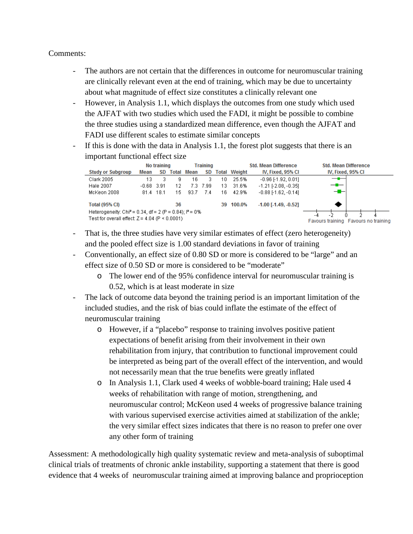## Comments:

- The authors are not certain that the differences in outcome for neuromuscular training are clinically relevant even at the end of training, which may be due to uncertainty about what magnitude of effect size constitutes a clinically relevant one
- However, in Analysis 1.1, which displays the outcomes from one study which used the AJFAT with two studies which used the FADI, it might be possible to combine the three studies using a standardized mean difference, even though the AJFAT and FADI use different scales to estimate similar concepts
- If this is done with the data in Analysis 1.1, the forest plot suggests that there is an important functional effect size

|                                                                                                                          | No training  |    |       | Training |      |     |                     | <b>Std. Mean Difference</b>          | <b>Std. Mean Difference</b> |
|--------------------------------------------------------------------------------------------------------------------------|--------------|----|-------|----------|------|-----|---------------------|--------------------------------------|-----------------------------|
| <b>Study or Subgroup</b>                                                                                                 | Mean         | SD | Total | Mean     | SD   |     | <b>Total Weight</b> | IV, Fixed, 95% CI                    | IV, Fixed, 95% CI           |
| Clark 2005                                                                                                               | 13           |    | g     | 16       | з    | 10. | 25.5%               | $-0.96$ $[-1.92, 0.01]$              | —                           |
| Hale 2007                                                                                                                | $-0.68$ 3.91 |    | 12    | 7.3      | 7.99 | 13. | 31.6%               | $-1.21$ [-2.08, -0.35]               | —                           |
| McKeon 2008                                                                                                              | 81.4 18.1    |    | 15    | 93.7     | 7.4  | 16  | 42.9%               | $-0.88$ F1.62, $-0.141$              | --                          |
| <b>Total (95% CI)</b>                                                                                                    |              |    | 36    |          |      |     | 39 100.0%           | $-1.00$ [ $-1.49$ , $-0.52$ ]        |                             |
| Heterogeneity: Chi <sup>2</sup> = 0.34, df = 2 (P = 0.84); $P = 0\%$<br>Test for overall effect: $Z = 4.04$ (P < 0.0001) |              |    |       |          |      |     |                     | Favours training Favours no training |                             |

- That is, the three studies have very similar estimates of effect (zero heterogeneity) and the pooled effect size is 1.00 standard deviations in favor of training
- Conventionally, an effect size of 0.80 SD or more is considered to be "large" and an effect size of 0.50 SD or more is considered to be "moderate"
	- o The lower end of the 95% confidence interval for neuromuscular training is 0.52, which is at least moderate in size
- The lack of outcome data beyond the training period is an important limitation of the included studies, and the risk of bias could inflate the estimate of the effect of neuromuscular training
	- o However, if a "placebo" response to training involves positive patient expectations of benefit arising from their involvement in their own rehabilitation from injury, that contribution to functional improvement could be interpreted as being part of the overall effect of the intervention, and would not necessarily mean that the true benefits were greatly inflated
	- o In Analysis 1.1, Clark used 4 weeks of wobble-board training; Hale used 4 weeks of rehabilitation with range of motion, strengthening, and neuromuscular control; McKeon used 4 weeks of progressive balance training with various supervised exercise activities aimed at stabilization of the ankle; the very similar effect sizes indicates that there is no reason to prefer one over any other form of training

Assessment: A methodologically high quality systematic review and meta-analysis of suboptimal clinical trials of treatments of chronic ankle instability, supporting a statement that there is good evidence that 4 weeks of neuromuscular training aimed at improving balance and proprioception